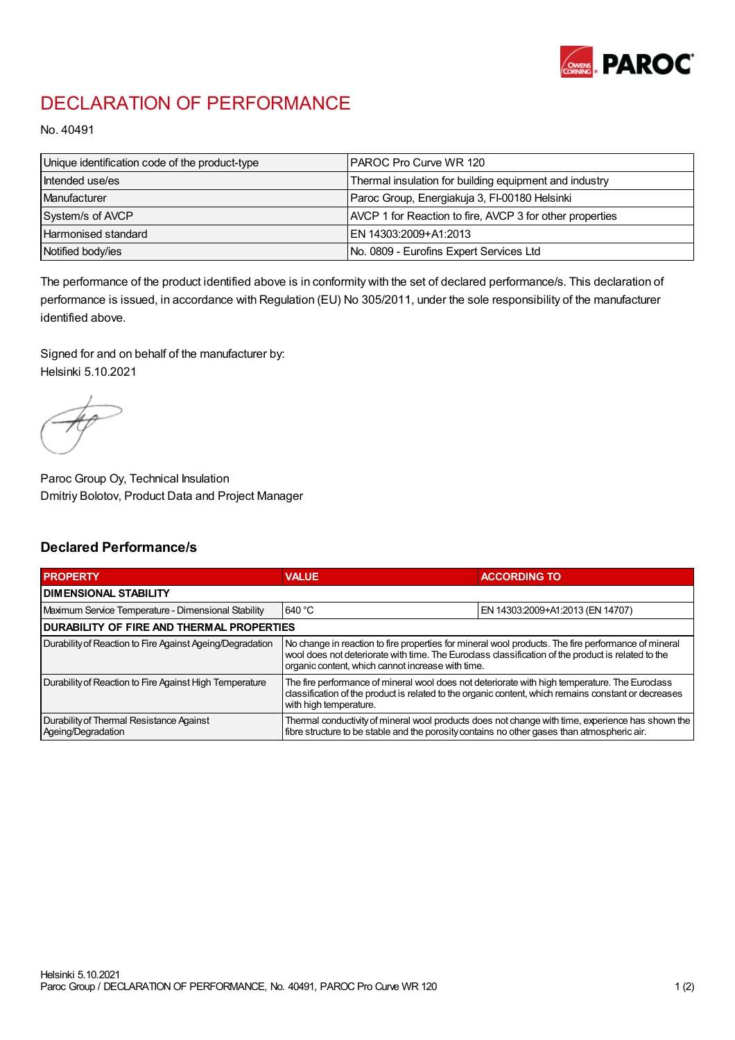

## DECLARATION OF PERFORMANCE

No. 40491

| Unique identification code of the product-type | IPAROC Pro Curve WR 120                                  |
|------------------------------------------------|----------------------------------------------------------|
| Intended use/es                                | Thermal insulation for building equipment and industry   |
| Manufacturer                                   | Paroc Group, Energiakuja 3, FI-00180 Helsinki            |
| System/s of AVCP                               | AVCP 1 for Reaction to fire, AVCP 3 for other properties |
| Harmonised standard                            | IEN 14303:2009+A1:2013                                   |
| Notified body/ies                              | No. 0809 - Eurofins Expert Services Ltd                  |

The performance of the product identified above is in conformity with the set of declared performance/s. This declaration of performance is issued, in accordance with Regulation (EU) No 305/2011, under the sole responsibility of the manufacturer identified above.

Signed for and on behalf of the manufacturer by: Helsinki 5.10.2021

Paroc Group Oy, Technical Insulation Dmitriy Bolotov, Product Data and Project Manager

## Declared Performance/s

| <b>PROPERTY</b>                                                | <b>VALUE</b>                                                                                                                                                                                                                                                   | <b>ACCORDING TO.</b>             |  |
|----------------------------------------------------------------|----------------------------------------------------------------------------------------------------------------------------------------------------------------------------------------------------------------------------------------------------------------|----------------------------------|--|
| <b>DIMENSIONAL STABILITY</b>                                   |                                                                                                                                                                                                                                                                |                                  |  |
| Maximum Service Temperature - Dimensional Stability            | 640 °C                                                                                                                                                                                                                                                         | EN 14303:2009+A1:2013 (EN 14707) |  |
| <b>DURABILITY OF FIRE AND THERMAL PROPERTIES</b>               |                                                                                                                                                                                                                                                                |                                  |  |
| Durability of Reaction to Fire Against Ageing/Degradation      | No change in reaction to fire properties for mineral wool products. The fire performance of mineral<br>wool does not deteriorate with time. The Euroclass classification of the product is related to the<br>organic content, which cannot increase with time. |                                  |  |
| Durability of Reaction to Fire Against High Temperature        | The fire performance of mineral wool does not deteriorate with high temperature. The Euroclass<br>classification of the product is related to the organic content, which remains constant or decreases<br>with high temperature.                               |                                  |  |
| Durability of Thermal Resistance Against<br>Ageing/Degradation | Thermal conductivity of mineral wool products does not change with time, experience has shown the<br>fibre structure to be stable and the porosity contains no other gases than atmospheric air.                                                               |                                  |  |